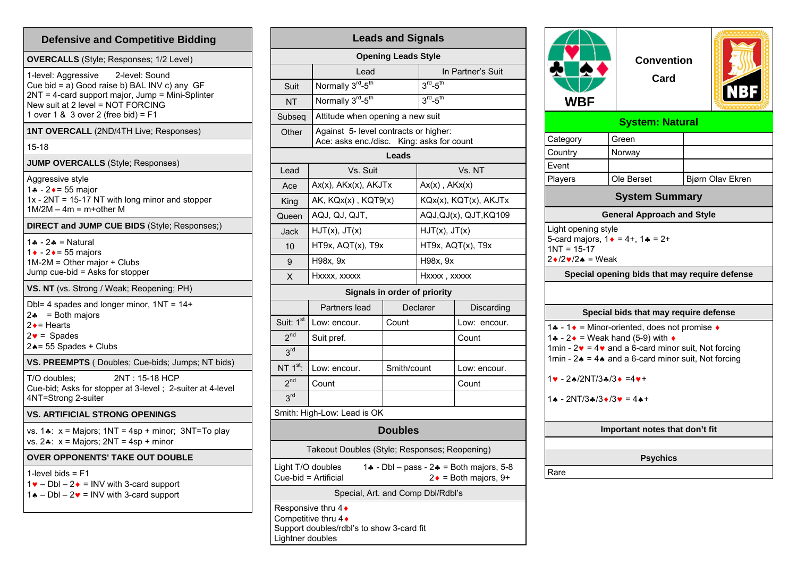| <b>Defensive and Competitive Bidding</b>                                                                                                                                                                              |  |  |  |  |  |
|-----------------------------------------------------------------------------------------------------------------------------------------------------------------------------------------------------------------------|--|--|--|--|--|
| <b>OVERCALLS</b> (Style; Responses; 1/2 Level)                                                                                                                                                                        |  |  |  |  |  |
| 1-level: Aggressive<br>2-level: Sound<br>Cue bid = a) Good raise b) BAL INV c) any GF<br>2NT = 4-card support major, Jump = Mini-Splinter<br>New suit at 2 level = NOT FORCING<br>1 over 1 & 3 over 2 (free bid) = F1 |  |  |  |  |  |
| 1NT OVERCALL (2ND/4TH Live; Responses)                                                                                                                                                                                |  |  |  |  |  |
| $15 - 18$                                                                                                                                                                                                             |  |  |  |  |  |
| <b>JUMP OVERCALLS (Style; Responses)</b>                                                                                                                                                                              |  |  |  |  |  |
| Aggressive style<br>1. - 2. - 55 major<br>1x - 2NT = 15-17 NT with long minor and stopper<br>$1M/2M - 4m = m + other$ M                                                                                               |  |  |  |  |  |
| DIRECT and JUMP CUE BIDS (Style; Responses;)                                                                                                                                                                          |  |  |  |  |  |
| $1 - 2 =$ Natural<br>1 + - 2 + = 55 majors<br>1M-2M = Other major + Clubs<br>Jump cue-bid = Asks for stopper                                                                                                          |  |  |  |  |  |
| VS. NT (vs. Strong / Weak; Reopening; PH)                                                                                                                                                                             |  |  |  |  |  |
| Dbl= 4 spades and longer minor, $1NT = 14+$<br>$2\bullet$ = Both majors<br>$2 \cdot =$ Hearts<br>$2\bullet$ = Spades<br>24= 55 Spades + Clubs                                                                         |  |  |  |  |  |
| VS. PREEMPTS (Doubles; Cue-bids; Jumps; NT bids)                                                                                                                                                                      |  |  |  |  |  |
| 2NT: 15-18 HCP<br>T/O doubles;<br>Cue-bid; Asks for stopper at 3-level ; 2-suiter at 4-level<br>4NT=Strong 2-suiter                                                                                                   |  |  |  |  |  |
| <b>VS. ARTIFICIAL STRONG OPENINGS</b>                                                                                                                                                                                 |  |  |  |  |  |
| vs. $1\cdot x$ : x = Majors; $1NT = 4sp + minor$ ; $3NT = To play$<br>vs. $2$ *: $x =$ Majors; $2NT = 4sp +$ minor                                                                                                    |  |  |  |  |  |
| <b>OVER OPPONENTS' TAKE OUT DOUBLE</b>                                                                                                                                                                                |  |  |  |  |  |
| 1-level bids $=$ $F1$<br>$1\bullet$ - Dbl - 2 $\bullet$ = INV with 3-card support<br>$1\spadesuit$ - DbI - 2 $\spadesuit$ = INV with 3-card support                                                                   |  |  |  |  |  |

| <b>Leads and Signals</b>                                                                                             |                                                                                    |             |                           |               |  |  |  |  |  |
|----------------------------------------------------------------------------------------------------------------------|------------------------------------------------------------------------------------|-------------|---------------------------|---------------|--|--|--|--|--|
| <b>Opening Leads Style</b>                                                                                           |                                                                                    |             |                           |               |  |  |  |  |  |
|                                                                                                                      | Lead                                                                               |             | In Partner's Suit         |               |  |  |  |  |  |
| Suit                                                                                                                 | Normally 3rd-5th                                                                   |             | $3^{rd}$ -5 <sup>th</sup> |               |  |  |  |  |  |
| NT                                                                                                                   | Normally 3rd-5 <sup>th</sup>                                                       |             |                           | $3rd-5th$     |  |  |  |  |  |
| Subseq                                                                                                               | Attitude when opening a new suit                                                   |             |                           |               |  |  |  |  |  |
| Other                                                                                                                | Against 5- level contracts or higher:<br>Ace: asks enc./disc. King: asks for count |             |                           |               |  |  |  |  |  |
| Leads                                                                                                                |                                                                                    |             |                           |               |  |  |  |  |  |
| Lead                                                                                                                 | Vs. Suit                                                                           |             |                           | Vs. NT        |  |  |  |  |  |
| Ace                                                                                                                  | $Ax(x)$ , $AKx(x)$ , $AKJTx$                                                       |             | $Ax(x)$ , $AKx(x)$        |               |  |  |  |  |  |
| King                                                                                                                 | AK, KQx(x), KQT9(x)                                                                |             | KQx(x), KQT(x), AKJTx     |               |  |  |  |  |  |
| Queen                                                                                                                | AQJ, QJ, QJT,                                                                      |             | AQJ,QJ(x), QJT,KQ109      |               |  |  |  |  |  |
| Jack                                                                                                                 | HJT(x), JT(x)                                                                      |             |                           | HJT(x), JT(x) |  |  |  |  |  |
| 10                                                                                                                   | HT9x, AQT(x), T9x                                                                  |             | HT9x, AQT(x), T9x         |               |  |  |  |  |  |
| 9                                                                                                                    | H98x, 9x                                                                           |             | H98x, 9x                  |               |  |  |  |  |  |
| X                                                                                                                    | Hxxxx, xxxxx                                                                       |             | Hxxxx, xxxxx              |               |  |  |  |  |  |
|                                                                                                                      | Signals in order of priority                                                       |             |                           |               |  |  |  |  |  |
|                                                                                                                      | Partners lead                                                                      |             | Declarer                  | Discarding    |  |  |  |  |  |
| Suit: 1st                                                                                                            | Low: encour.                                                                       | Count       |                           | Low: encour.  |  |  |  |  |  |
| 2 <sup>nd</sup>                                                                                                      | Suit pref.                                                                         |             |                           | Count         |  |  |  |  |  |
| 3 <sup>rd</sup>                                                                                                      |                                                                                    |             |                           |               |  |  |  |  |  |
| NT $1st$ :                                                                                                           | Low: encour.                                                                       | Smith/count |                           | Low: encour.  |  |  |  |  |  |
| 2 <sup>nd</sup>                                                                                                      | Count                                                                              |             |                           | Count         |  |  |  |  |  |
| 3 <sup>rd</sup>                                                                                                      |                                                                                    |             |                           |               |  |  |  |  |  |
|                                                                                                                      | Smith: High-Low: Lead is OK                                                        |             |                           |               |  |  |  |  |  |
| <b>Doubles</b>                                                                                                       |                                                                                    |             |                           |               |  |  |  |  |  |
| Takeout Doubles (Style; Responses; Reopening)                                                                        |                                                                                    |             |                           |               |  |  |  |  |  |
| Light T/O doubles<br>1♣ - Dbl – pass - 2♣ = Both majors, 5-8<br>Cue-bid = Artificial<br>$2\bullet$ = Both majors, 9+ |                                                                                    |             |                           |               |  |  |  |  |  |
| Special, Art. and Comp Dbl/Rdbl's                                                                                    |                                                                                    |             |                           |               |  |  |  |  |  |
| Responsive thru $4\bullet$<br>Competitive thru 4♦<br>Support doubles/rdbl's to show 3-card fit                       |                                                                                    |             |                           |               |  |  |  |  |  |

Lightner doubles



## **Special bids that may require defense**  1. - 1. = Minor-oriented, does not promise  $\triangle$ 1. - 2  $\bullet$  = Weak hand (5-9) with  $\bullet$ 1min -  $2\mathbf{v}$  = 4 $\mathbf{v}$  and a 6-card minor suit, Not forcing 1min - 2 $\triangle$  = 4. and a 6-card minor suit, Not forcing

 $1NT = 15-17$ 2♦/2♥/2♠ = Weak

1♥ - 2♠/2NT/3♣/3♦ =4♥+

```
14 - 2NT/3&/3♦/3♥ = 4▲+
```
## **Important notes that don't fit**

**Special opening bids that may require defense** 

**Psychics** 

Rare